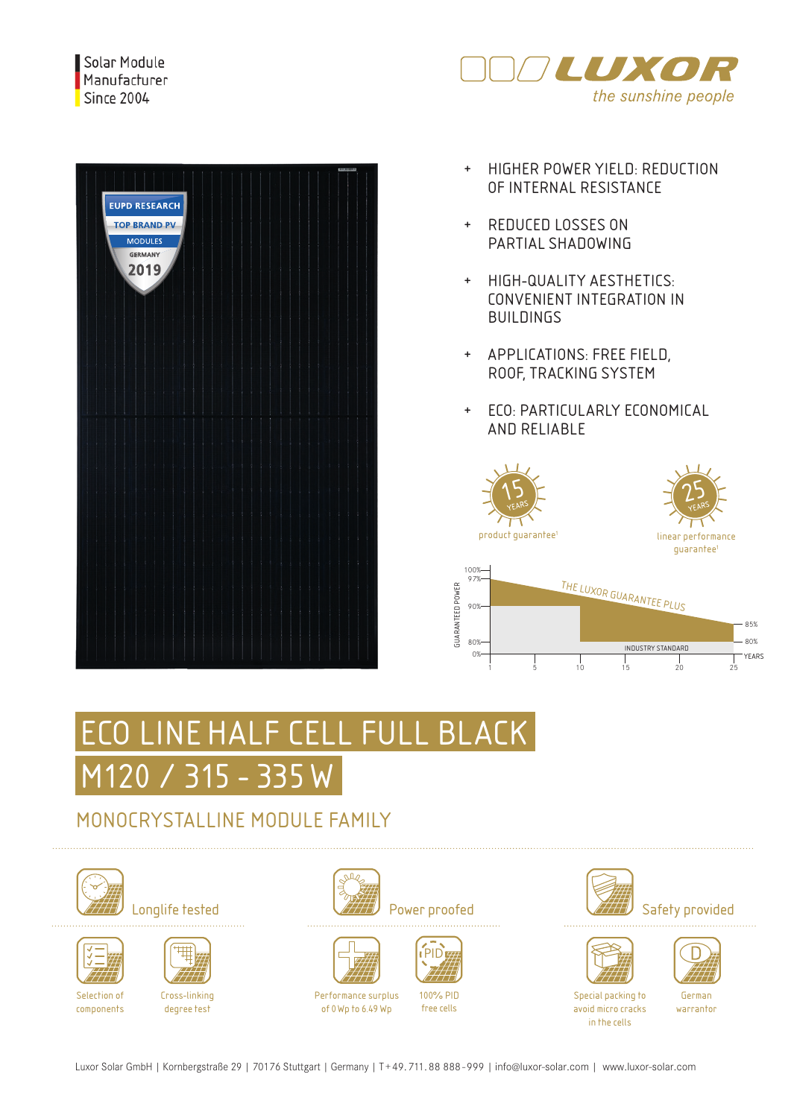



- + HIGHER POWER YIELD: REDUCTION OF INTERNAL RESISTANCE
- + REDUCED LOSSES ON PARTIAL SHADOWING
- + HIGH-QUALITY AESTHETICS: CONVENIENT INTEGRATION IN BUILDINGS
- + APPLICATIONS: FREE FIELD, ROOF, TRACKING SYSTEM
- + ECO: PARTICULARLY ECONOMICAL AND RELIABLE







# ECO LINE HALF CELL FULL BLACK M120 / 315 - 335 W

### MONOCRYSTALLINE MODULE FAMILY









Cross-linking degree test



















Special packing to avoid micro cracks in the cells

German warrantor

Performance surplus of 0Wp to 6.49 Wp 100% PID free cells